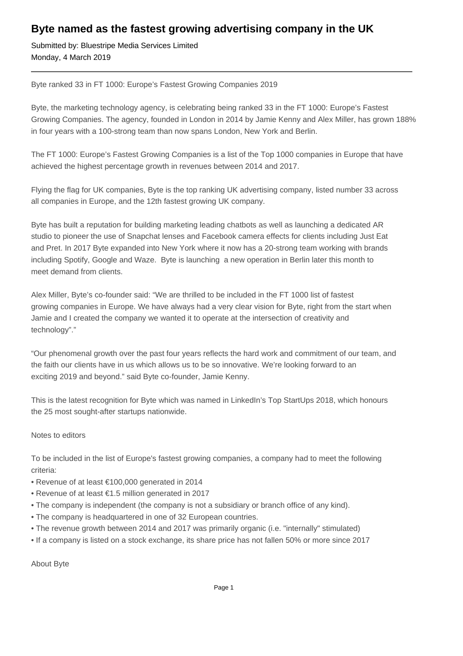## **Byte named as the fastest growing advertising company in the UK**

Submitted by: Bluestripe Media Services Limited Monday, 4 March 2019

Byte ranked 33 in FT 1000: Europe's Fastest Growing Companies 2019

Byte, the marketing technology agency, is celebrating being ranked 33 in the FT 1000: Europe's Fastest Growing Companies. The agency, founded in London in 2014 by Jamie Kenny and Alex Miller, has grown 188% in four years with a 100-strong team than now spans London, New York and Berlin.

The FT 1000: Europe's Fastest Growing Companies is a list of the Top 1000 companies in Europe that have achieved the highest percentage growth in revenues between 2014 and 2017.

Flying the flag for UK companies, Byte is the top ranking UK advertising company, listed number 33 across all companies in Europe, and the 12th fastest growing UK company.

Byte has built a reputation for building marketing leading chatbots as well as launching a dedicated AR studio to pioneer the use of Snapchat lenses and Facebook camera effects for clients including Just Eat and Pret. In 2017 Byte expanded into New York where it now has a 20-strong team working with brands including Spotify, Google and Waze. Byte is launching a new operation in Berlin later this month to meet demand from clients.

Alex Miller, Byte's co-founder said: "We are thrilled to be included in the FT 1000 list of fastest growing companies in Europe. We have always had a very clear vision for Byte, right from the start when Jamie and I created the company we wanted it to operate at the intersection of creativity and technology"."

"Our phenomenal growth over the past four years reflects the hard work and commitment of our team, and the faith our clients have in us which allows us to be so innovative. We're looking forward to an exciting 2019 and beyond." said Byte co-founder, Jamie Kenny.

This is the latest recognition for Byte which was named in LinkedIn's Top StartUps 2018, which honours the 25 most sought-after startups nationwide.

## Notes to editors

To be included in the list of Europe's fastest growing companies, a company had to meet the following criteria:

- Revenue of at least €100,000 generated in 2014
- Revenue of at least €1.5 million generated in 2017
- The company is independent (the company is not a subsidiary or branch office of any kind).
- The company is headquartered in one of 32 European countries.
- The revenue growth between 2014 and 2017 was primarily organic (i.e. "internally" stimulated)
- If a company is listed on a stock exchange, its share price has not fallen 50% or more since 2017

About Byte